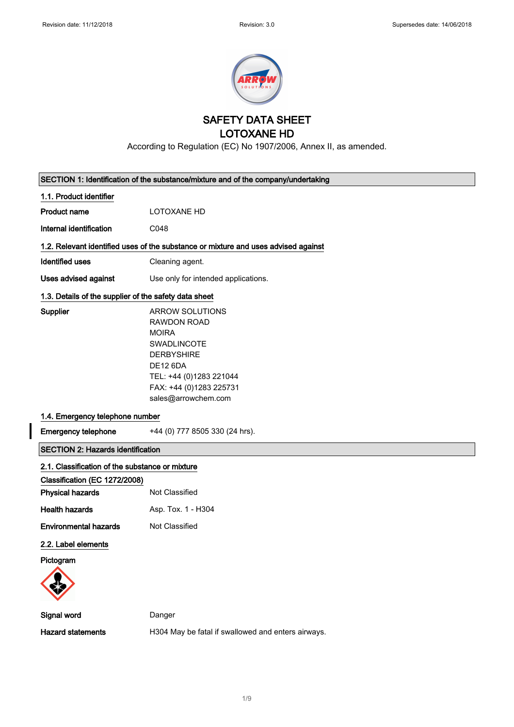$\overline{\phantom{a}}$ 



SAFETY DATA SHEET

LOTOXANE HD

According to Regulation (EC) No 1907/2006, Annex II, as amended.

| SECTION 1: Identification of the substance/mixture and of the company/undertaking  |                                                                                                                                                                                                  |  |  |
|------------------------------------------------------------------------------------|--------------------------------------------------------------------------------------------------------------------------------------------------------------------------------------------------|--|--|
| 1.1. Product identifier                                                            |                                                                                                                                                                                                  |  |  |
| <b>Product name</b>                                                                | LOTOXANE HD                                                                                                                                                                                      |  |  |
| Internal identification                                                            | C048                                                                                                                                                                                             |  |  |
| 1.2. Relevant identified uses of the substance or mixture and uses advised against |                                                                                                                                                                                                  |  |  |
| <b>Identified uses</b>                                                             | Cleaning agent.                                                                                                                                                                                  |  |  |
| Uses advised against                                                               | Use only for intended applications.                                                                                                                                                              |  |  |
| 1.3. Details of the supplier of the safety data sheet                              |                                                                                                                                                                                                  |  |  |
| <b>Supplier</b>                                                                    | <b>ARROW SOLUTIONS</b><br><b>RAWDON ROAD</b><br><b>MOIRA</b><br>SWADLINCOTE<br><b>DERBYSHIRE</b><br><b>DE12 6DA</b><br>TEL: +44 (0)1283 221044<br>FAX: +44 (0)1283 225731<br>sales@arrowchem.com |  |  |
| 1.4. Emergency telephone number                                                    |                                                                                                                                                                                                  |  |  |
| <b>Emergency telephone</b>                                                         | +44 (0) 777 8505 330 (24 hrs).                                                                                                                                                                   |  |  |
| <b>SECTION 2: Hazards identification</b>                                           |                                                                                                                                                                                                  |  |  |
| 2.1. Classification of the substance or mixture                                    |                                                                                                                                                                                                  |  |  |
| Classification (EC 1272/2008)                                                      |                                                                                                                                                                                                  |  |  |
| <b>Physical hazards</b>                                                            | Not Classified                                                                                                                                                                                   |  |  |
| <b>Health hazards</b>                                                              | Asp. Tox. 1 - H304                                                                                                                                                                               |  |  |
| <b>Environmental hazards</b>                                                       | Not Classified                                                                                                                                                                                   |  |  |
| 2.2. Label elements                                                                |                                                                                                                                                                                                  |  |  |
| Pictogram                                                                          |                                                                                                                                                                                                  |  |  |
| Signal word                                                                        | Danger                                                                                                                                                                                           |  |  |
| <b>Hazard statements</b>                                                           | H304 May be fatal if swallowed and enters airways.                                                                                                                                               |  |  |
|                                                                                    |                                                                                                                                                                                                  |  |  |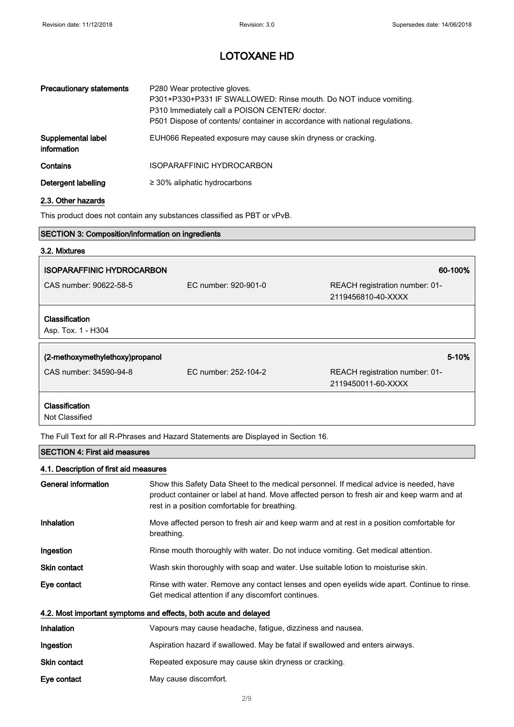| <b>Precautionary statements</b>   | P280 Wear protective gloves.<br>P301+P330+P331 IF SWALLOWED: Rinse mouth. Do NOT induce vomiting.<br>P310 Immediately call a POISON CENTER/ doctor.<br>P501 Dispose of contents/ container in accordance with national regulations. |
|-----------------------------------|-------------------------------------------------------------------------------------------------------------------------------------------------------------------------------------------------------------------------------------|
| Supplemental label<br>information | EUH066 Repeated exposure may cause skin dryness or cracking.                                                                                                                                                                        |
| Contains                          | ISOPARAFFINIC HYDROCARBON                                                                                                                                                                                                           |
| Detergent labelling               | $\geq$ 30% aliphatic hydrocarbons                                                                                                                                                                                                   |

### 2.3. Other hazards

This product does not contain any substances classified as PBT or vPvB.

## SECTION 3: Composition/information on ingredients

# 3.2. Mixtures ISOPARAFFINIC HYDROCARBON 60-100% CAS number: 90622-58-5 EC number: 920-901-0 REACH registration number: 01- 2119456810-40-XXXX Classification Asp. Tox. 1 - H304 (2-methoxymethylethoxy)propanol 5-10% CAS number: 34590-94-8 EC number: 252-104-2 REACH registration number: 01- 2119450011-60-XXXX

Classification

Not Classified

The Full Text for all R-Phrases and Hazard Statements are Displayed in Section 16.

### SECTION 4: First aid measures

| 4.1. Description of first aid measures |                                                                                                                                                                                                                                        |
|----------------------------------------|----------------------------------------------------------------------------------------------------------------------------------------------------------------------------------------------------------------------------------------|
| General information                    | Show this Safety Data Sheet to the medical personnel. If medical advice is needed, have<br>product container or label at hand. Move affected person to fresh air and keep warm and at<br>rest in a position comfortable for breathing. |
| Inhalation                             | Move affected person to fresh air and keep warm and at rest in a position comfortable for<br>breathing.                                                                                                                                |
| Ingestion                              | Rinse mouth thoroughly with water. Do not induce vomiting. Get medical attention.                                                                                                                                                      |
| <b>Skin contact</b>                    | Wash skin thoroughly with soap and water. Use suitable lotion to moisturise skin.                                                                                                                                                      |
| Eye contact                            | Rinse with water. Remove any contact lenses and open eyelids wide apart. Continue to rinse.<br>Get medical attention if any discomfort continues.                                                                                      |
|                                        | 4.2. Most important symptoms and effects, both acute and delayed                                                                                                                                                                       |
| <b>Inhalation</b>                      | Vapours may cause headache, fatigue, dizziness and nausea.                                                                                                                                                                             |
| Ingestion                              | Aspiration hazard if swallowed. May be fatal if swallowed and enters airways.                                                                                                                                                          |
| <b>Skin contact</b>                    | Repeated exposure may cause skin dryness or cracking.                                                                                                                                                                                  |
| Eye contact                            | May cause discomfort.                                                                                                                                                                                                                  |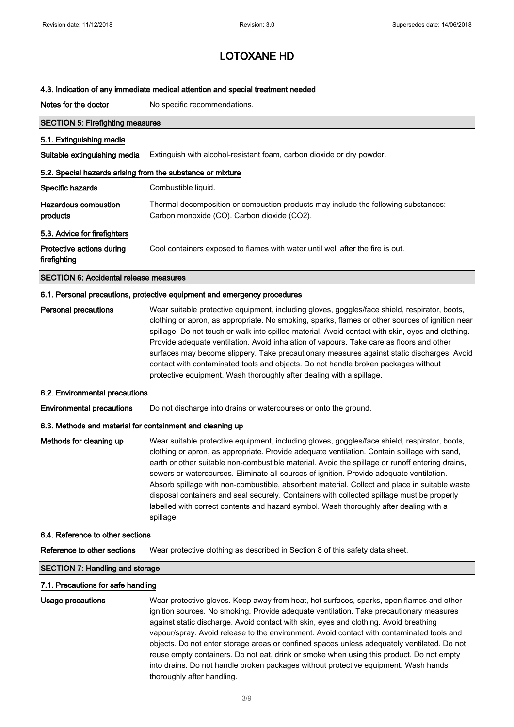#### 4.3. Indication of any immediate medical attention and special treatment needed

Notes for the doctor No specific recommendations.

| <b>SECTION 5: Firefighting measures</b>                                  |                                                                                                                                                                                                  |  |  |
|--------------------------------------------------------------------------|--------------------------------------------------------------------------------------------------------------------------------------------------------------------------------------------------|--|--|
| 5.1. Extinguishing media                                                 |                                                                                                                                                                                                  |  |  |
| Suitable extinguishing media                                             | Extinguish with alcohol-resistant foam, carbon dioxide or dry powder.                                                                                                                            |  |  |
| 5.2. Special hazards arising from the substance or mixture               |                                                                                                                                                                                                  |  |  |
| Specific hazards                                                         | Combustible liquid.                                                                                                                                                                              |  |  |
| <b>Hazardous combustion</b><br>products                                  | Thermal decomposition or combustion products may include the following substances:<br>Carbon monoxide (CO). Carbon dioxide (CO2).                                                                |  |  |
| 5.3. Advice for firefighters                                             |                                                                                                                                                                                                  |  |  |
| Protective actions during<br>firefighting                                | Cool containers exposed to flames with water until well after the fire is out.                                                                                                                   |  |  |
| <b>SECTION 6: Accidental release measures</b>                            |                                                                                                                                                                                                  |  |  |
| 6.1. Personal precautions, protective equipment and emergency procedures |                                                                                                                                                                                                  |  |  |
| <b>Personal precautions</b>                                              | Wear suitable protective equipment, including gloves, goggles/face shield, respirator, boots,<br>clothing or apron, as appropriate. No smoking, sparks, flames or other sources of ignition near |  |  |

spillage. Do not touch or walk into spilled material. Avoid contact with skin, eyes and clothing. Provide adequate ventilation. Avoid inhalation of vapours. Take care as floors and other surfaces may become slippery. Take precautionary measures against static discharges. Avoid contact with contaminated tools and objects. Do not handle broken packages without protective equipment. Wash thoroughly after dealing with a spillage.

#### 6.2. Environmental precautions

Environmental precautions Do not discharge into drains or watercourses or onto the ground.

#### 6.3. Methods and material for containment and cleaning up

Methods for cleaning up Wear suitable protective equipment, including gloves, goggles/face shield, respirator, boots, clothing or apron, as appropriate. Provide adequate ventilation. Contain spillage with sand, earth or other suitable non-combustible material. Avoid the spillage or runoff entering drains, sewers or watercourses. Eliminate all sources of ignition. Provide adequate ventilation. Absorb spillage with non-combustible, absorbent material. Collect and place in suitable waste disposal containers and seal securely. Containers with collected spillage must be properly labelled with correct contents and hazard symbol. Wash thoroughly after dealing with a spillage.

#### 6.4. Reference to other sections

Reference to other sections Wear protective clothing as described in Section 8 of this safety data sheet.

#### SECTION 7: Handling and storage

#### 7.1. Precautions for safe handling

| Usage precautions | Wear protective gloves. Keep away from heat, hot surfaces, sparks, open flames and other    |
|-------------------|---------------------------------------------------------------------------------------------|
|                   | ignition sources. No smoking. Provide adequate ventilation. Take precautionary measures     |
|                   | against static discharge. Avoid contact with skin, eyes and clothing. Avoid breathing       |
|                   | vapour/spray. Avoid release to the environment. Avoid contact with contaminated tools and   |
|                   | objects. Do not enter storage areas or confined spaces unless adequately ventilated. Do not |
|                   | reuse empty containers. Do not eat, drink or smoke when using this product. Do not empty    |
|                   | into drains. Do not handle broken packages without protective equipment. Wash hands         |
|                   | thoroughly after handling.                                                                  |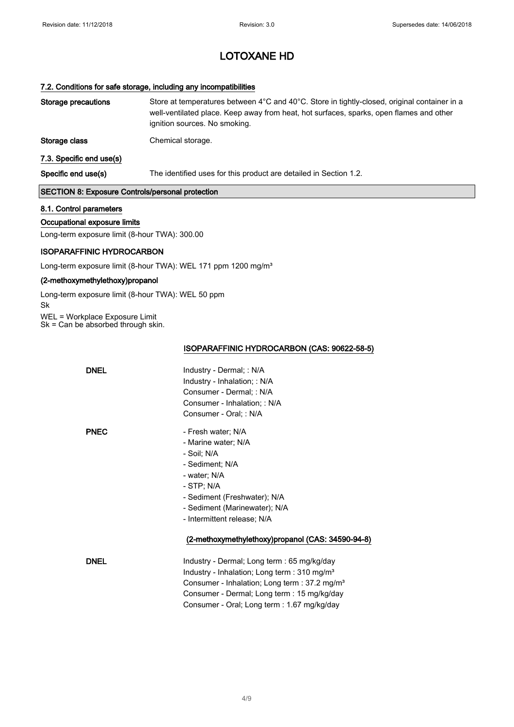### 7.2. Conditions for safe storage, including any incompatibilities

| Storage precautions                                     | Store at temperatures between 4°C and 40°C. Store in tightly-closed, original container in a<br>well-ventilated place. Keep away from heat, hot surfaces, sparks, open flames and other<br>ignition sources. No smoking. |  |
|---------------------------------------------------------|--------------------------------------------------------------------------------------------------------------------------------------------------------------------------------------------------------------------------|--|
| Storage class                                           | Chemical storage.                                                                                                                                                                                                        |  |
| 7.3. Specific end use(s)                                |                                                                                                                                                                                                                          |  |
| Specific end use(s)                                     | The identified uses for this product are detailed in Section 1.2.                                                                                                                                                        |  |
| <b>SECTION 8: Exposure Controls/personal protection</b> |                                                                                                                                                                                                                          |  |
| 8.1. Control parameters                                 |                                                                                                                                                                                                                          |  |

### Occupational exposure limits

Long-term exposure limit (8-hour TWA): 300.00

### ISOPARAFFINIC HYDROCARBON

Long-term exposure limit (8-hour TWA): WEL 171 ppm 1200 mg/m<sup>3</sup>

### (2-methoxymethylethoxy)propanol

Long-term exposure limit (8-hour TWA): WEL 50 ppm Sk WEL = Workplace Exposure Limit Sk = Can be absorbed through skin.

ISOPARAFFINIC HYDROCARBON (CAS: 90622-58-5)

| <b>DNEL</b> | Industry - Dermal; : N/A<br>Industry - Inhalation; : N/A  |
|-------------|-----------------------------------------------------------|
|             | Consumer - Dermal; : N/A                                  |
|             | Consumer - Inhalation: : N/A                              |
|             | Consumer - Oral; : N/A                                    |
| <b>PNEC</b> | - Fresh water; N/A                                        |
|             | - Marine water; N/A                                       |
|             | - Soil; N/A                                               |
|             | - Sediment; N/A                                           |
|             | - water: N/A                                              |
|             | - STP; N/A                                                |
|             | - Sediment (Freshwater); N/A                              |
|             | - Sediment (Marinewater); N/A                             |
|             | - Intermittent release; N/A                               |
|             | (2-methoxymethylethoxy)propanol (CAS: 34590-94-8)         |
| <b>DNEL</b> | Industry - Dermal; Long term : 65 mg/kg/day               |
|             | Industry - Inhalation; Long term : 310 mg/m <sup>3</sup>  |
|             | Consumer - Inhalation; Long term : 37.2 mg/m <sup>3</sup> |
|             | Consumer - Dermal; Long term : 15 mg/kg/day               |
|             | Consumer - Oral; Long term : 1.67 mg/kg/day               |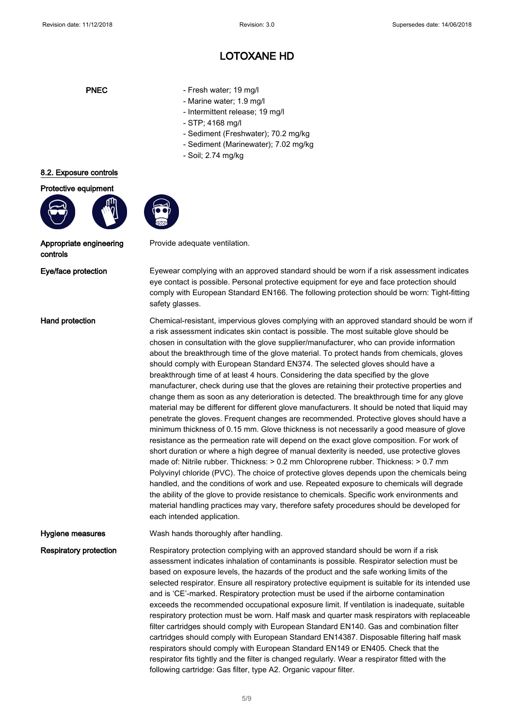- PNEC Fresh water; 19 mg/l
	- Marine water; 1.9 mg/l
	- Intermittent release; 19 mg/l
	- STP; 4168 mg/l
	- Sediment (Freshwater); 70.2 mg/kg
	- Sediment (Marinewater); 7.02 mg/kg
	- Soil; 2.74 mg/kg

Provide adequate ventilation.



Appropriate engineering controls

8.2. Exposure controls Protective equipment

Eye/face protection Eyewear complying with an approved standard should be worn if a risk assessment indicates eye contact is possible. Personal protective equipment for eye and face protection should comply with European Standard EN166. The following protection should be worn: Tight-fitting safety glasses.

Hand protection **Chemical-resistant, impervious gloves complying with an approved standard should be worn if** a risk assessment indicates skin contact is possible. The most suitable glove should be chosen in consultation with the glove supplier/manufacturer, who can provide information about the breakthrough time of the glove material. To protect hands from chemicals, gloves should comply with European Standard EN374. The selected gloves should have a breakthrough time of at least 4 hours. Considering the data specified by the glove manufacturer, check during use that the gloves are retaining their protective properties and change them as soon as any deterioration is detected. The breakthrough time for any glove material may be different for different glove manufacturers. It should be noted that liquid may penetrate the gloves. Frequent changes are recommended. Protective gloves should have a minimum thickness of 0.15 mm. Glove thickness is not necessarily a good measure of glove resistance as the permeation rate will depend on the exact glove composition. For work of short duration or where a high degree of manual dexterity is needed, use protective gloves made of: Nitrile rubber. Thickness: > 0.2 mm Chloroprene rubber. Thickness: > 0.7 mm Polyvinyl chloride (PVC). The choice of protective gloves depends upon the chemicals being handled, and the conditions of work and use. Repeated exposure to chemicals will degrade the ability of the glove to provide resistance to chemicals. Specific work environments and material handling practices may vary, therefore safety procedures should be developed for each intended application.

Hygiene measures **Wash hands thoroughly after handling**.

Respiratory protection Respiratory protection complying with an approved standard should be worn if a risk assessment indicates inhalation of contaminants is possible. Respirator selection must be based on exposure levels, the hazards of the product and the safe working limits of the selected respirator. Ensure all respiratory protective equipment is suitable for its intended use and is 'CE'-marked. Respiratory protection must be used if the airborne contamination exceeds the recommended occupational exposure limit. If ventilation is inadequate, suitable respiratory protection must be worn. Half mask and quarter mask respirators with replaceable filter cartridges should comply with European Standard EN140. Gas and combination filter cartridges should comply with European Standard EN14387. Disposable filtering half mask respirators should comply with European Standard EN149 or EN405. Check that the respirator fits tightly and the filter is changed regularly. Wear a respirator fitted with the following cartridge: Gas filter, type A2. Organic vapour filter.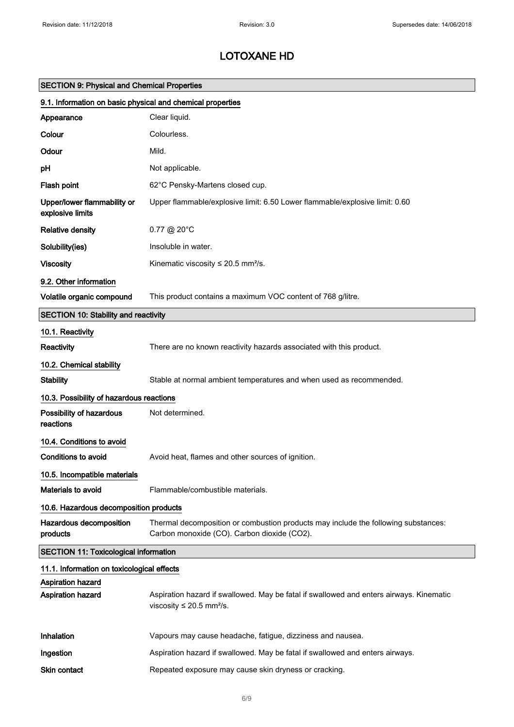| <b>SECTION 9: Physical and Chemical Properties</b>         |                                                                                                                                      |  |
|------------------------------------------------------------|--------------------------------------------------------------------------------------------------------------------------------------|--|
| 9.1. Information on basic physical and chemical properties |                                                                                                                                      |  |
| Appearance                                                 | Clear liquid.                                                                                                                        |  |
| Colour                                                     | Colourless.                                                                                                                          |  |
| Odour                                                      | Mild.                                                                                                                                |  |
| pH                                                         | Not applicable.                                                                                                                      |  |
| Flash point                                                | 62°C Pensky-Martens closed cup.                                                                                                      |  |
| Upper/lower flammability or<br>explosive limits            | Upper flammable/explosive limit: 6.50 Lower flammable/explosive limit: 0.60                                                          |  |
| <b>Relative density</b>                                    | $0.77 \text{ @ } 20^{\circ}$ C                                                                                                       |  |
| Solubility(ies)                                            | Insoluble in water.                                                                                                                  |  |
| <b>Viscosity</b>                                           | Kinematic viscosity $\leq$ 20.5 mm <sup>2</sup> /s.                                                                                  |  |
| 9.2. Other information                                     |                                                                                                                                      |  |
| Volatile organic compound                                  | This product contains a maximum VOC content of 768 g/litre.                                                                          |  |
| <b>SECTION 10: Stability and reactivity</b>                |                                                                                                                                      |  |
| 10.1. Reactivity                                           |                                                                                                                                      |  |
| Reactivity                                                 | There are no known reactivity hazards associated with this product.                                                                  |  |
| 10.2. Chemical stability                                   |                                                                                                                                      |  |
| <b>Stability</b>                                           | Stable at normal ambient temperatures and when used as recommended.                                                                  |  |
| 10.3. Possibility of hazardous reactions                   |                                                                                                                                      |  |
| Possibility of hazardous<br>reactions                      | Not determined.                                                                                                                      |  |
| 10.4. Conditions to avoid                                  |                                                                                                                                      |  |
| <b>Conditions to avoid</b>                                 | Avoid heat, flames and other sources of ignition.                                                                                    |  |
| 10.5. Incompatible materials                               |                                                                                                                                      |  |
| Materials to avoid                                         | Flammable/combustible materials.                                                                                                     |  |
| 10.6. Hazardous decomposition products                     |                                                                                                                                      |  |
| Hazardous decomposition<br>products                        | Thermal decomposition or combustion products may include the following substances:<br>Carbon monoxide (CO). Carbon dioxide (CO2).    |  |
| <b>SECTION 11: Toxicological information</b>               |                                                                                                                                      |  |
| 11.1. Information on toxicological effects                 |                                                                                                                                      |  |
| Aspiration hazard<br>Aspiration hazard                     | Aspiration hazard if swallowed. May be fatal if swallowed and enters airways. Kinematic<br>viscosity $\leq 20.5$ mm <sup>2</sup> /s. |  |
| Inhalation                                                 | Vapours may cause headache, fatigue, dizziness and nausea.                                                                           |  |
| Ingestion                                                  | Aspiration hazard if swallowed. May be fatal if swallowed and enters airways.                                                        |  |
| Skin contact                                               | Repeated exposure may cause skin dryness or cracking.                                                                                |  |
|                                                            |                                                                                                                                      |  |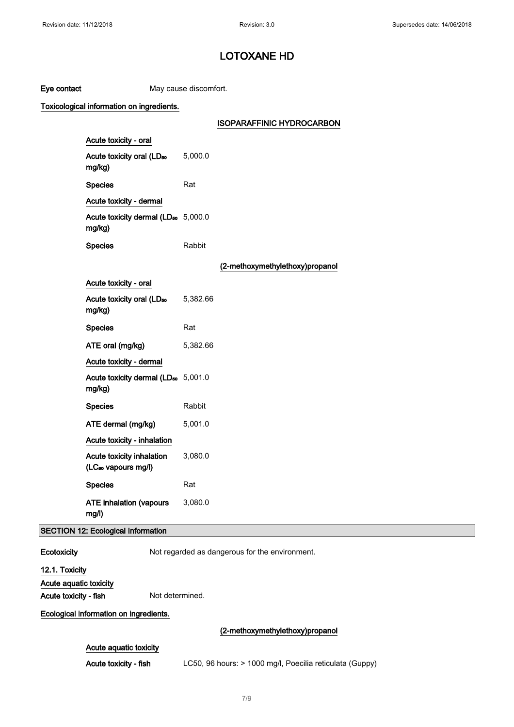| Eye contact                               |                                                              | May cause discomfort. |                                                          |
|-------------------------------------------|--------------------------------------------------------------|-----------------------|----------------------------------------------------------|
| Toxicological information on ingredients. |                                                              |                       |                                                          |
|                                           |                                                              |                       | <b>ISOPARAFFINIC HYDROCARBON</b>                         |
|                                           | Acute toxicity - oral                                        |                       |                                                          |
|                                           | Acute toxicity oral (LD <sub>50</sub><br>mg/kg)              | 5,000.0               |                                                          |
|                                           | <b>Species</b>                                               | Rat                   |                                                          |
|                                           | Acute toxicity - dermal                                      |                       |                                                          |
|                                           | Acute toxicity dermal (LD <sub>50</sub> 5,000.0<br>mg/kg)    |                       |                                                          |
|                                           | <b>Species</b>                                               | Rabbit                |                                                          |
|                                           |                                                              |                       | (2-methoxymethylethoxy)propanol                          |
|                                           | Acute toxicity - oral                                        |                       |                                                          |
|                                           | Acute toxicity oral (LD <sub>50</sub><br>mg/kg)              | 5,382.66              |                                                          |
|                                           | <b>Species</b>                                               | Rat                   |                                                          |
|                                           | ATE oral (mg/kg)                                             | 5,382.66              |                                                          |
|                                           | Acute toxicity - dermal                                      |                       |                                                          |
|                                           | Acute toxicity dermal (LD <sub>50</sub> 5,001.0<br>mg/kg)    |                       |                                                          |
|                                           | <b>Species</b>                                               | Rabbit                |                                                          |
|                                           | ATE dermal (mg/kg)                                           | 5,001.0               |                                                          |
|                                           | Acute toxicity - inhalation                                  |                       |                                                          |
|                                           | Acute toxicity inhalation<br>(LC <sub>50</sub> vapours mg/l) | 3,080.0               |                                                          |
|                                           | <b>Species</b>                                               | Rat                   |                                                          |
|                                           | <b>ATE inhalation (vapours</b><br>mg/l)                      | 3,080.0               |                                                          |
|                                           | <b>SECTION 12: Ecological Information</b>                    |                       |                                                          |
| Ecotoxicity                               |                                                              |                       | Not regarded as dangerous for the environment.           |
| 12.1. Toxicity                            |                                                              |                       |                                                          |
| Acute aquatic toxicity                    |                                                              |                       |                                                          |
| Acute toxicity - fish                     | Not determined.                                              |                       |                                                          |
|                                           | Ecological information on ingredients.                       |                       |                                                          |
|                                           |                                                              |                       | (2-methoxymethylethoxy)propanol                          |
|                                           | Acute aquatic toxicity                                       |                       |                                                          |
|                                           | Acute toxicity - fish                                        |                       | LC50, 96 hours: > 1000 mg/l, Poecilia reticulata (Guppy) |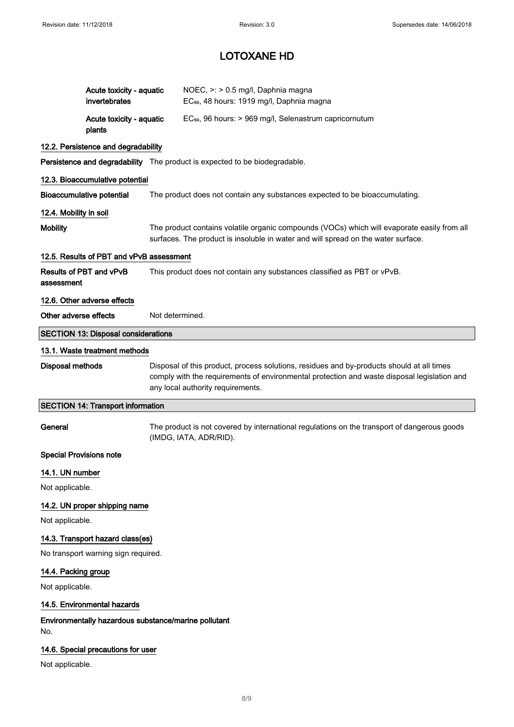|                                | Acute toxicity - aquatic<br>invertebrates                                  |                                                                                                                                                                                                                               | NOEC, >: > 0.5 mg/l, Daphnia magna<br>EC <sub>50</sub> , 48 hours: 1919 mg/l, Daphnia magna                                                                                      |  |  |
|--------------------------------|----------------------------------------------------------------------------|-------------------------------------------------------------------------------------------------------------------------------------------------------------------------------------------------------------------------------|----------------------------------------------------------------------------------------------------------------------------------------------------------------------------------|--|--|
|                                | Acute toxicity - aquatic<br>plants                                         |                                                                                                                                                                                                                               | EC <sub>50</sub> , 96 hours: > 969 mg/l, Selenastrum capricornutum                                                                                                               |  |  |
|                                | 12.2. Persistence and degradability                                        |                                                                                                                                                                                                                               |                                                                                                                                                                                  |  |  |
|                                | Persistence and degradability The product is expected to be biodegradable. |                                                                                                                                                                                                                               |                                                                                                                                                                                  |  |  |
|                                | 12.3. Bioaccumulative potential                                            |                                                                                                                                                                                                                               |                                                                                                                                                                                  |  |  |
|                                | <b>Bioaccumulative potential</b>                                           | The product does not contain any substances expected to be bioaccumulating.                                                                                                                                                   |                                                                                                                                                                                  |  |  |
| 12.4. Mobility in soil         |                                                                            |                                                                                                                                                                                                                               |                                                                                                                                                                                  |  |  |
| <b>Mobility</b>                |                                                                            |                                                                                                                                                                                                                               | The product contains volatile organic compounds (VOCs) which will evaporate easily from all<br>surfaces. The product is insoluble in water and will spread on the water surface. |  |  |
|                                | 12.5. Results of PBT and vPvB assessment                                   |                                                                                                                                                                                                                               |                                                                                                                                                                                  |  |  |
| assessment                     | Results of PBT and vPvB                                                    | This product does not contain any substances classified as PBT or vPvB.                                                                                                                                                       |                                                                                                                                                                                  |  |  |
|                                | 12.6. Other adverse effects                                                |                                                                                                                                                                                                                               |                                                                                                                                                                                  |  |  |
| Other adverse effects          |                                                                            | Not determined.                                                                                                                                                                                                               |                                                                                                                                                                                  |  |  |
|                                | <b>SECTION 13: Disposal considerations</b>                                 |                                                                                                                                                                                                                               |                                                                                                                                                                                  |  |  |
|                                | 13.1. Waste treatment methods                                              |                                                                                                                                                                                                                               |                                                                                                                                                                                  |  |  |
| <b>Disposal methods</b>        |                                                                            | Disposal of this product, process solutions, residues and by-products should at all times<br>comply with the requirements of environmental protection and waste disposal legislation and<br>any local authority requirements. |                                                                                                                                                                                  |  |  |
|                                | <b>SECTION 14: Transport information</b>                                   |                                                                                                                                                                                                                               |                                                                                                                                                                                  |  |  |
| General                        |                                                                            |                                                                                                                                                                                                                               | The product is not covered by international regulations on the transport of dangerous goods<br>(IMDG, IATA, ADR/RID).                                                            |  |  |
| <b>Special Provisions note</b> |                                                                            |                                                                                                                                                                                                                               |                                                                                                                                                                                  |  |  |
| 14.1. UN number                |                                                                            |                                                                                                                                                                                                                               |                                                                                                                                                                                  |  |  |
| Not applicable.                |                                                                            |                                                                                                                                                                                                                               |                                                                                                                                                                                  |  |  |
|                                | 14.2. UN proper shipping name                                              |                                                                                                                                                                                                                               |                                                                                                                                                                                  |  |  |
|                                |                                                                            |                                                                                                                                                                                                                               |                                                                                                                                                                                  |  |  |
| Not applicable.                |                                                                            |                                                                                                                                                                                                                               |                                                                                                                                                                                  |  |  |
|                                | 14.3. Transport hazard class(es)                                           |                                                                                                                                                                                                                               |                                                                                                                                                                                  |  |  |
|                                | No transport warning sign required.                                        |                                                                                                                                                                                                                               |                                                                                                                                                                                  |  |  |
| 14.4. Packing group            |                                                                            |                                                                                                                                                                                                                               |                                                                                                                                                                                  |  |  |
| Not applicable.                |                                                                            |                                                                                                                                                                                                                               |                                                                                                                                                                                  |  |  |
|                                | 14.5. Environmental hazards                                                |                                                                                                                                                                                                                               |                                                                                                                                                                                  |  |  |
| No.                            | Environmentally hazardous substance/marine pollutant                       |                                                                                                                                                                                                                               |                                                                                                                                                                                  |  |  |